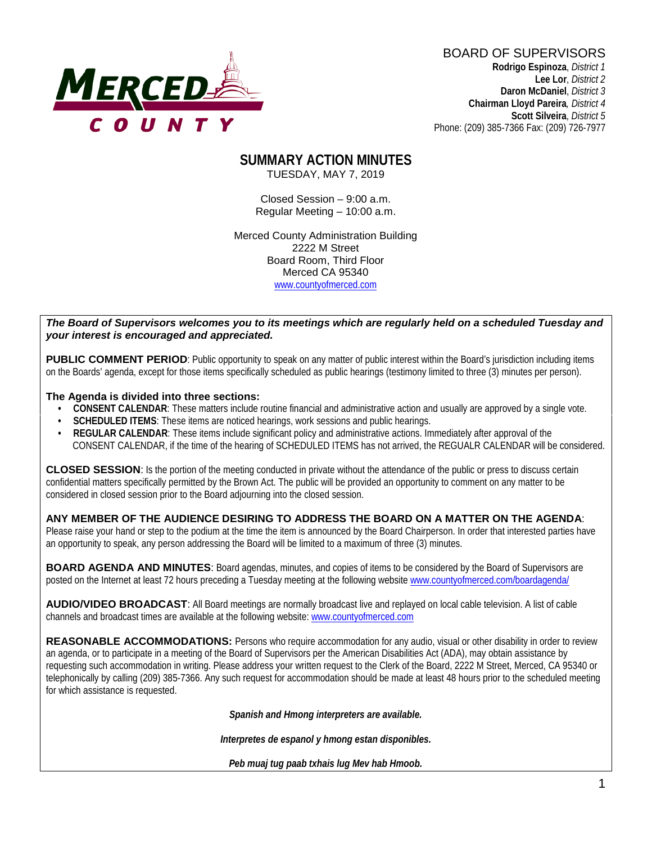

BOARD OF SUPERVISORS **Rodrigo Espinoza**, *District 1*  **Lee Lor**, *District 2*  **Daron McDaniel**, *District 3* **Chairman Lloyd Pareira***, District 4*  **Scott Silveira**, *District 5*

Phone: (209) 385-7366 Fax: (209) 726-7977

#### **SUMMARY ACTION MINUTES** TUESDAY, MAY 7, 2019

Closed Session – 9:00 a.m. Regular Meeting – 10:00 a.m.

Merced County Administration Building 2222 M Street Board Room, Third Floor Merced CA 95340 www.countyofmerced.com

#### *The Board of Supervisors welcomes you to its meetings which are regularly held on a scheduled Tuesday and your interest is encouraged and appreciated.*

**PUBLIC COMMENT PERIOD:** Public opportunity to speak on any matter of public interest within the Board's jurisdiction including items on the Boards' agenda, except for those items specifically scheduled as public hearings (testimony limited to three (3) minutes per person).

#### **The Agenda is divided into three sections:**

- **CONSENT CALENDAR**: These matters include routine financial and administrative action and usually are approved by a single vote.
- **SCHEDULED ITEMS:** These items are noticed hearings, work sessions and public hearings.
- **REGULAR CALENDAR**: These items include significant policy and administrative actions. Immediately after approval of the CONSENT CALENDAR, if the time of the hearing of SCHEDULED ITEMS has not arrived, the REGUALR CALENDAR will be considered.

**CLOSED SESSION**: Is the portion of the meeting conducted in private without the attendance of the public or press to discuss certain confidential matters specifically permitted by the Brown Act. The public will be provided an opportunity to comment on any matter to be considered in closed session prior to the Board adjourning into the closed session.

#### **ANY MEMBER OF THE AUDIENCE DESIRING TO ADDRESS THE BOARD ON A MATTER ON THE AGENDA**:

Please raise your hand or step to the podium at the time the item is announced by the Board Chairperson. In order that interested parties have an opportunity to speak, any person addressing the Board will be limited to a maximum of three (3) minutes.

**BOARD AGENDA AND MINUTES:** Board agendas, minutes, and copies of items to be considered by the Board of Supervisors are posted on the Internet at least 72 hours preceding a Tuesday meeting at the following website [www.countyofmerced.com/boardagenda/](http://www.countyofmerced.com/boardagenda/) 

**AUDIO/VIDEO BROADCAST**: All Board meetings are normally broadcast live and replayed on local cable television. A list of cable channels and broadcast times are available at the following website[: www.countyofmerced.com](http://www.countyofmerced.com/)

**REASONABLE ACCOMMODATIONS:** Persons who require accommodation for any audio, visual or other disability in order to review an agenda, or to participate in a meeting of the Board of Supervisors per the American Disabilities Act (ADA), may obtain assistance by requesting such accommodation in writing. Please address your written request to the Clerk of the Board, 2222 M Street, Merced, CA 95340 or telephonically by calling (209) 385-7366. Any such request for accommodation should be made at least 48 hours prior to the scheduled meeting for which assistance is requested.

*Spanish and Hmong interpreters are available.*

*Interpretes de espanol y hmong estan disponibles.*

*Peb muaj tug paab txhais lug Mev hab Hmoob.*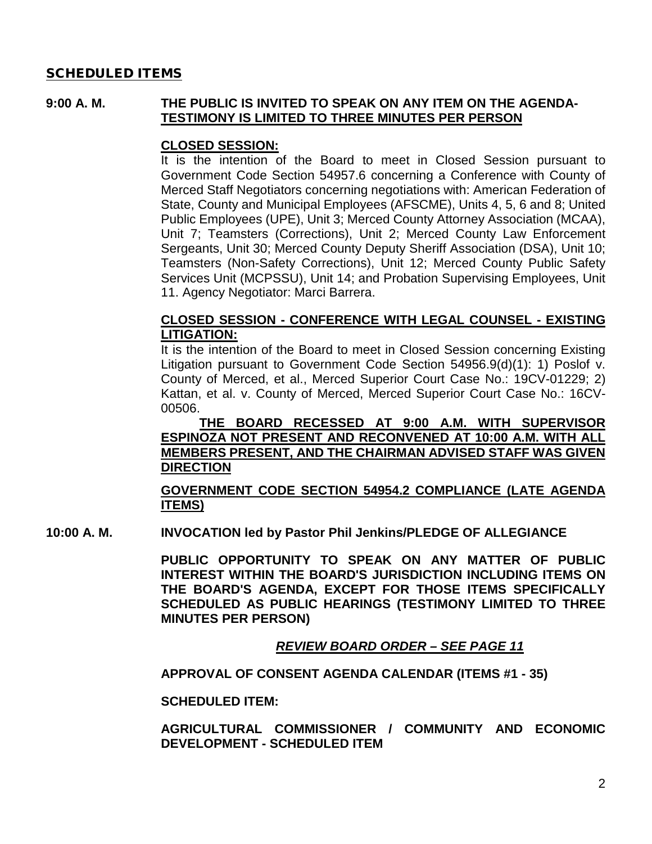### SCHEDULED ITEMS

#### **9:00 A. M. THE PUBLIC IS INVITED TO SPEAK ON ANY ITEM ON THE AGENDA-TESTIMONY IS LIMITED TO THREE MINUTES PER PERSON**

#### **CLOSED SESSION:**

It is the intention of the Board to meet in Closed Session pursuant to Government Code Section 54957.6 concerning a Conference with County of Merced Staff Negotiators concerning negotiations with: American Federation of State, County and Municipal Employees (AFSCME), Units 4, 5, 6 and 8; United Public Employees (UPE), Unit 3; Merced County Attorney Association (MCAA), Unit 7; Teamsters (Corrections), Unit 2; Merced County Law Enforcement Sergeants, Unit 30; Merced County Deputy Sheriff Association (DSA), Unit 10; Teamsters (Non-Safety Corrections), Unit 12; Merced County Public Safety Services Unit (MCPSSU), Unit 14; and Probation Supervising Employees, Unit 11. Agency Negotiator: Marci Barrera.

#### **CLOSED SESSION - CONFERENCE WITH LEGAL COUNSEL - EXISTING LITIGATION:**

It is the intention of the Board to meet in Closed Session concerning Existing Litigation pursuant to Government Code Section 54956.9(d)(1): 1) Poslof v. County of Merced, et al., Merced Superior Court Case No.: 19CV-01229; 2) Kattan, et al. v. County of Merced, Merced Superior Court Case No.: 16CV-00506.

**THE BOARD RECESSED AT 9:00 A.M. WITH SUPERVISOR ESPINOZA NOT PRESENT AND RECONVENED AT 10:00 A.M. WITH ALL MEMBERS PRESENT, AND THE CHAIRMAN ADVISED STAFF WAS GIVEN DIRECTION**

**GOVERNMENT CODE SECTION 54954.2 COMPLIANCE (LATE AGENDA ITEMS)**

**10:00 A. M. INVOCATION led by Pastor Phil Jenkins/PLEDGE OF ALLEGIANCE**

**PUBLIC OPPORTUNITY TO SPEAK ON ANY MATTER OF PUBLIC INTEREST WITHIN THE BOARD'S JURISDICTION INCLUDING ITEMS ON THE BOARD'S AGENDA, EXCEPT FOR THOSE ITEMS SPECIFICALLY SCHEDULED AS PUBLIC HEARINGS (TESTIMONY LIMITED TO THREE MINUTES PER PERSON)**

*REVIEW BOARD ORDER – SEE PAGE 11*

**APPROVAL OF CONSENT AGENDA CALENDAR (ITEMS #1 - 35)**

**SCHEDULED ITEM:**

**AGRICULTURAL COMMISSIONER / COMMUNITY AND ECONOMIC DEVELOPMENT - SCHEDULED ITEM**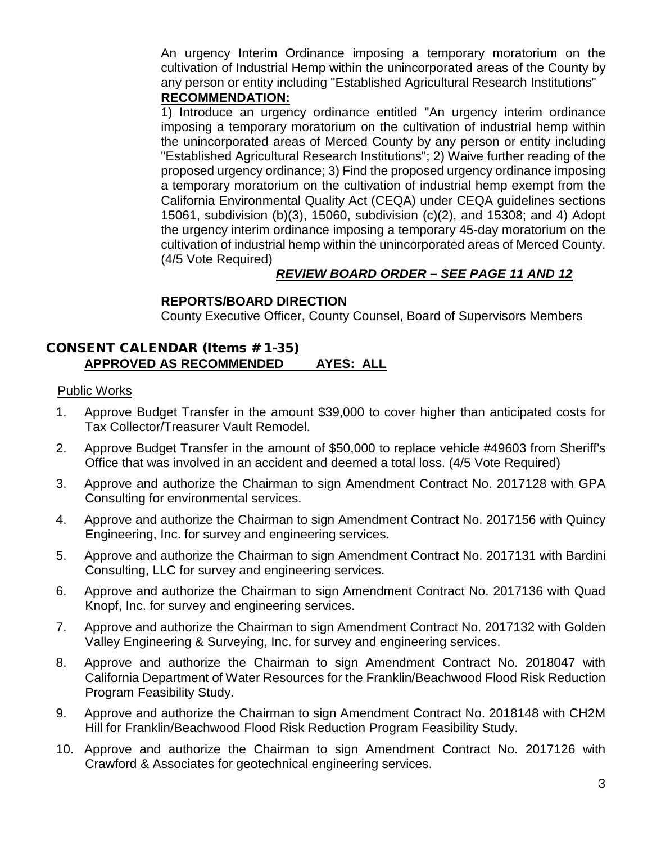An urgency Interim Ordinance imposing a temporary moratorium on the cultivation of Industrial Hemp within the unincorporated areas of the County by any person or entity including "Established Agricultural Research Institutions"

## **RECOMMENDATION:**

1) Introduce an urgency ordinance entitled "An urgency interim ordinance imposing a temporary moratorium on the cultivation of industrial hemp within the unincorporated areas of Merced County by any person or entity including "Established Agricultural Research Institutions"; 2) Waive further reading of the proposed urgency ordinance; 3) Find the proposed urgency ordinance imposing a temporary moratorium on the cultivation of industrial hemp exempt from the California Environmental Quality Act (CEQA) under CEQA guidelines sections 15061, subdivision (b)(3), 15060, subdivision (c)(2), and 15308; and 4) Adopt the urgency interim ordinance imposing a temporary 45-day moratorium on the cultivation of industrial hemp within the unincorporated areas of Merced County. (4/5 Vote Required)

# *REVIEW BOARD ORDER – SEE PAGE 11 AND 12*

# **REPORTS/BOARD DIRECTION**

County Executive Officer, County Counsel, Board of Supervisors Members

### CONSENT CALENDAR (Items # 1-35) **APPROVED AS RECOMMENDED AYES: ALL**

#### Public Works

- 1. Approve Budget Transfer in the amount \$39,000 to cover higher than anticipated costs for Tax Collector/Treasurer Vault Remodel.
- 2. Approve Budget Transfer in the amount of \$50,000 to replace vehicle #49603 from Sheriff's Office that was involved in an accident and deemed a total loss. (4/5 Vote Required)
- 3. Approve and authorize the Chairman to sign Amendment Contract No. 2017128 with GPA Consulting for environmental services.
- 4. Approve and authorize the Chairman to sign Amendment Contract No. 2017156 with Quincy Engineering, Inc. for survey and engineering services.
- 5. Approve and authorize the Chairman to sign Amendment Contract No. 2017131 with Bardini Consulting, LLC for survey and engineering services.
- 6. Approve and authorize the Chairman to sign Amendment Contract No. 2017136 with Quad Knopf, Inc. for survey and engineering services.
- 7. Approve and authorize the Chairman to sign Amendment Contract No. 2017132 with Golden Valley Engineering & Surveying, Inc. for survey and engineering services.
- 8. Approve and authorize the Chairman to sign Amendment Contract No. 2018047 with California Department of Water Resources for the Franklin/Beachwood Flood Risk Reduction Program Feasibility Study.
- 9. Approve and authorize the Chairman to sign Amendment Contract No. 2018148 with CH2M Hill for Franklin/Beachwood Flood Risk Reduction Program Feasibility Study.
- 10. Approve and authorize the Chairman to sign Amendment Contract No. 2017126 with Crawford & Associates for geotechnical engineering services.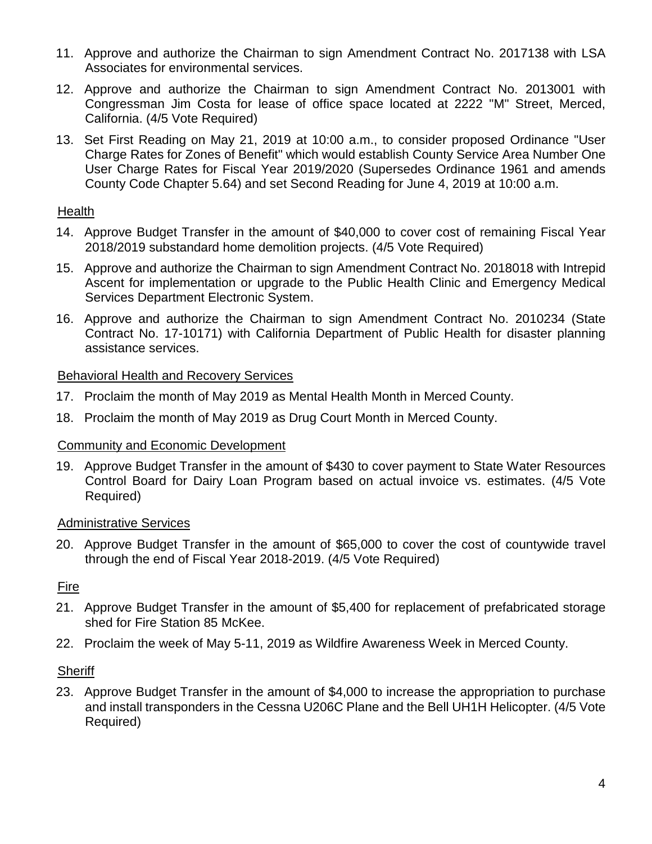- 11. Approve and authorize the Chairman to sign Amendment Contract No. 2017138 with LSA Associates for environmental services.
- 12. Approve and authorize the Chairman to sign Amendment Contract No. 2013001 with Congressman Jim Costa for lease of office space located at 2222 "M" Street, Merced, California. (4/5 Vote Required)
- 13. Set First Reading on May 21, 2019 at 10:00 a.m., to consider proposed Ordinance "User Charge Rates for Zones of Benefit" which would establish County Service Area Number One User Charge Rates for Fiscal Year 2019/2020 (Supersedes Ordinance 1961 and amends County Code Chapter 5.64) and set Second Reading for June 4, 2019 at 10:00 a.m.

### Health

- 14. Approve Budget Transfer in the amount of \$40,000 to cover cost of remaining Fiscal Year 2018/2019 substandard home demolition projects. (4/5 Vote Required)
- 15. Approve and authorize the Chairman to sign Amendment Contract No. 2018018 with Intrepid Ascent for implementation or upgrade to the Public Health Clinic and Emergency Medical Services Department Electronic System.
- 16. Approve and authorize the Chairman to sign Amendment Contract No. 2010234 (State Contract No. 17-10171) with California Department of Public Health for disaster planning assistance services.

### Behavioral Health and Recovery Services

- 17. Proclaim the month of May 2019 as Mental Health Month in Merced County.
- 18. Proclaim the month of May 2019 as Drug Court Month in Merced County.

### Community and Economic Development

19. Approve Budget Transfer in the amount of \$430 to cover payment to State Water Resources Control Board for Dairy Loan Program based on actual invoice vs. estimates. (4/5 Vote Required)

# Administrative Services

20. Approve Budget Transfer in the amount of \$65,000 to cover the cost of countywide travel through the end of Fiscal Year 2018-2019. (4/5 Vote Required)

# Fire

- 21. Approve Budget Transfer in the amount of \$5,400 for replacement of prefabricated storage shed for Fire Station 85 McKee.
- 22. Proclaim the week of May 5-11, 2019 as Wildfire Awareness Week in Merced County.

### **Sheriff**

23. Approve Budget Transfer in the amount of \$4,000 to increase the appropriation to purchase and install transponders in the Cessna U206C Plane and the Bell UH1H Helicopter. (4/5 Vote Required)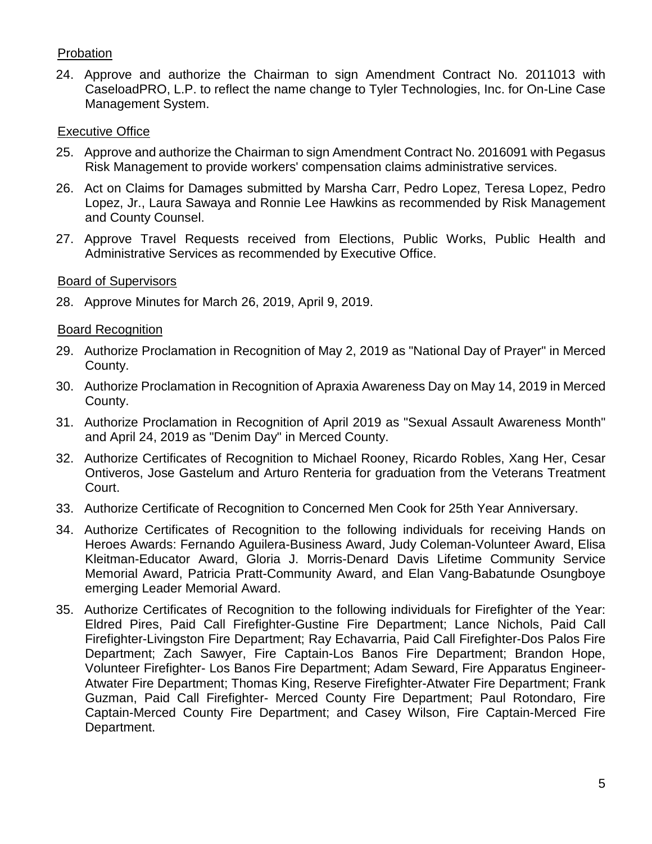# Probation

24. Approve and authorize the Chairman to sign Amendment Contract No. 2011013 with CaseloadPRO, L.P. to reflect the name change to Tyler Technologies, Inc. for On-Line Case Management System.

### Executive Office

- 25. Approve and authorize the Chairman to sign Amendment Contract No. 2016091 with Pegasus Risk Management to provide workers' compensation claims administrative services.
- 26. Act on Claims for Damages submitted by Marsha Carr, Pedro Lopez, Teresa Lopez, Pedro Lopez, Jr., Laura Sawaya and Ronnie Lee Hawkins as recommended by Risk Management and County Counsel.
- 27. Approve Travel Requests received from Elections, Public Works, Public Health and Administrative Services as recommended by Executive Office.

### Board of Supervisors

28. Approve Minutes for March 26, 2019, April 9, 2019.

### Board Recognition

- 29. Authorize Proclamation in Recognition of May 2, 2019 as "National Day of Prayer" in Merced County.
- 30. Authorize Proclamation in Recognition of Apraxia Awareness Day on May 14, 2019 in Merced County.
- 31. Authorize Proclamation in Recognition of April 2019 as "Sexual Assault Awareness Month" and April 24, 2019 as "Denim Day" in Merced County.
- 32. Authorize Certificates of Recognition to Michael Rooney, Ricardo Robles, Xang Her, Cesar Ontiveros, Jose Gastelum and Arturo Renteria for graduation from the Veterans Treatment Court.
- 33. Authorize Certificate of Recognition to Concerned Men Cook for 25th Year Anniversary.
- 34. Authorize Certificates of Recognition to the following individuals for receiving Hands on Heroes Awards: Fernando Aguilera-Business Award, Judy Coleman-Volunteer Award, Elisa Kleitman-Educator Award, Gloria J. Morris-Denard Davis Lifetime Community Service Memorial Award, Patricia Pratt-Community Award, and Elan Vang-Babatunde Osungboye emerging Leader Memorial Award.
- 35. Authorize Certificates of Recognition to the following individuals for Firefighter of the Year: Eldred Pires, Paid Call Firefighter-Gustine Fire Department; Lance Nichols, Paid Call Firefighter-Livingston Fire Department; Ray Echavarria, Paid Call Firefighter-Dos Palos Fire Department; Zach Sawyer, Fire Captain-Los Banos Fire Department; Brandon Hope, Volunteer Firefighter- Los Banos Fire Department; Adam Seward, Fire Apparatus Engineer-Atwater Fire Department; Thomas King, Reserve Firefighter-Atwater Fire Department; Frank Guzman, Paid Call Firefighter- Merced County Fire Department; Paul Rotondaro, Fire Captain-Merced County Fire Department; and Casey Wilson, Fire Captain-Merced Fire Department.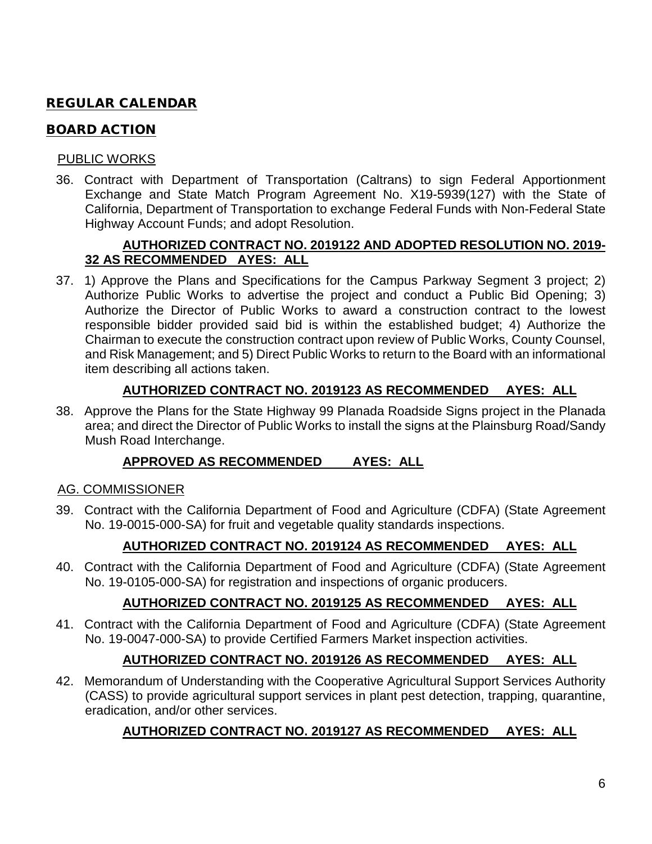# REGULAR CALENDAR

## BOARD ACTION

### PUBLIC WORKS

36. Contract with Department of Transportation (Caltrans) to sign Federal Apportionment Exchange and State Match Program Agreement No. X19-5939(127) with the State of California, Department of Transportation to exchange Federal Funds with Non-Federal State Highway Account Funds; and adopt Resolution.

### **AUTHORIZED CONTRACT NO. 2019122 AND ADOPTED RESOLUTION NO. 2019- 32 AS RECOMMENDED AYES: ALL**

37. 1) Approve the Plans and Specifications for the Campus Parkway Segment 3 project; 2) Authorize Public Works to advertise the project and conduct a Public Bid Opening; 3) Authorize the Director of Public Works to award a construction contract to the lowest responsible bidder provided said bid is within the established budget; 4) Authorize the Chairman to execute the construction contract upon review of Public Works, County Counsel, and Risk Management; and 5) Direct Public Works to return to the Board with an informational item describing all actions taken.

# **AUTHORIZED CONTRACT NO. 2019123 AS RECOMMENDED AYES: ALL**

38. Approve the Plans for the State Highway 99 Planada Roadside Signs project in the Planada area; and direct the Director of Public Works to install the signs at the Plainsburg Road/Sandy Mush Road Interchange.

# **APPROVED AS RECOMMENDED AYES: ALL**

# AG. COMMISSIONER

39. Contract with the California Department of Food and Agriculture (CDFA) (State Agreement No. 19-0015-000-SA) for fruit and vegetable quality standards inspections.

# **AUTHORIZED CONTRACT NO. 2019124 AS RECOMMENDED AYES: ALL**

40. Contract with the California Department of Food and Agriculture (CDFA) (State Agreement No. 19-0105-000-SA) for registration and inspections of organic producers.

# **AUTHORIZED CONTRACT NO. 2019125 AS RECOMMENDED AYES: ALL**

41. Contract with the California Department of Food and Agriculture (CDFA) (State Agreement No. 19-0047-000-SA) to provide Certified Farmers Market inspection activities.

# **AUTHORIZED CONTRACT NO. 2019126 AS RECOMMENDED AYES: ALL**

42. Memorandum of Understanding with the Cooperative Agricultural Support Services Authority (CASS) to provide agricultural support services in plant pest detection, trapping, quarantine, eradication, and/or other services.

# **AUTHORIZED CONTRACT NO. 2019127 AS RECOMMENDED AYES: ALL**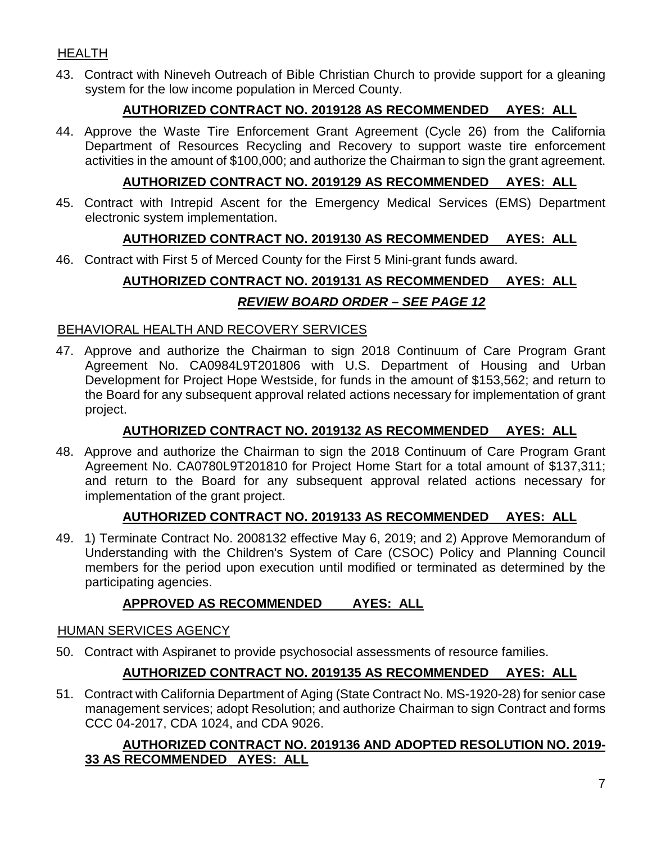# HEALTH

43. Contract with Nineveh Outreach of Bible Christian Church to provide support for a gleaning system for the low income population in Merced County.

# **AUTHORIZED CONTRACT NO. 2019128 AS RECOMMENDED AYES: ALL**

44. Approve the Waste Tire Enforcement Grant Agreement (Cycle 26) from the California Department of Resources Recycling and Recovery to support waste tire enforcement activities in the amount of \$100,000; and authorize the Chairman to sign the grant agreement.

# **AUTHORIZED CONTRACT NO. 2019129 AS RECOMMENDED AYES: ALL**

45. Contract with Intrepid Ascent for the Emergency Medical Services (EMS) Department electronic system implementation.

# **AUTHORIZED CONTRACT NO. 2019130 AS RECOMMENDED AYES: ALL**

46. Contract with First 5 of Merced County for the First 5 Mini-grant funds award.

# **AUTHORIZED CONTRACT NO. 2019131 AS RECOMMENDED AYES: ALL** *REVIEW BOARD ORDER – SEE PAGE 12*

### BEHAVIORAL HEALTH AND RECOVERY SERVICES

47. Approve and authorize the Chairman to sign 2018 Continuum of Care Program Grant Agreement No. CA0984L9T201806 with U.S. Department of Housing and Urban Development for Project Hope Westside, for funds in the amount of \$153,562; and return to the Board for any subsequent approval related actions necessary for implementation of grant project.

# **AUTHORIZED CONTRACT NO. 2019132 AS RECOMMENDED AYES: ALL**

48. Approve and authorize the Chairman to sign the 2018 Continuum of Care Program Grant Agreement No. CA0780L9T201810 for Project Home Start for a total amount of \$137,311; and return to the Board for any subsequent approval related actions necessary for implementation of the grant project.

# **AUTHORIZED CONTRACT NO. 2019133 AS RECOMMENDED AYES: ALL**

49. 1) Terminate Contract No. 2008132 effective May 6, 2019; and 2) Approve Memorandum of Understanding with the Children's System of Care (CSOC) Policy and Planning Council members for the period upon execution until modified or terminated as determined by the participating agencies.

# **APPROVED AS RECOMMENDED AYES: ALL**

### HUMAN SERVICES AGENCY

50. Contract with Aspiranet to provide psychosocial assessments of resource families.

# **AUTHORIZED CONTRACT NO. 2019135 AS RECOMMENDED AYES: ALL**

51. Contract with California Department of Aging (State Contract No. MS-1920-28) for senior case management services; adopt Resolution; and authorize Chairman to sign Contract and forms CCC 04-2017, CDA 1024, and CDA 9026.

# **AUTHORIZED CONTRACT NO. 2019136 AND ADOPTED RESOLUTION NO. 2019- 33 AS RECOMMENDED AYES: ALL**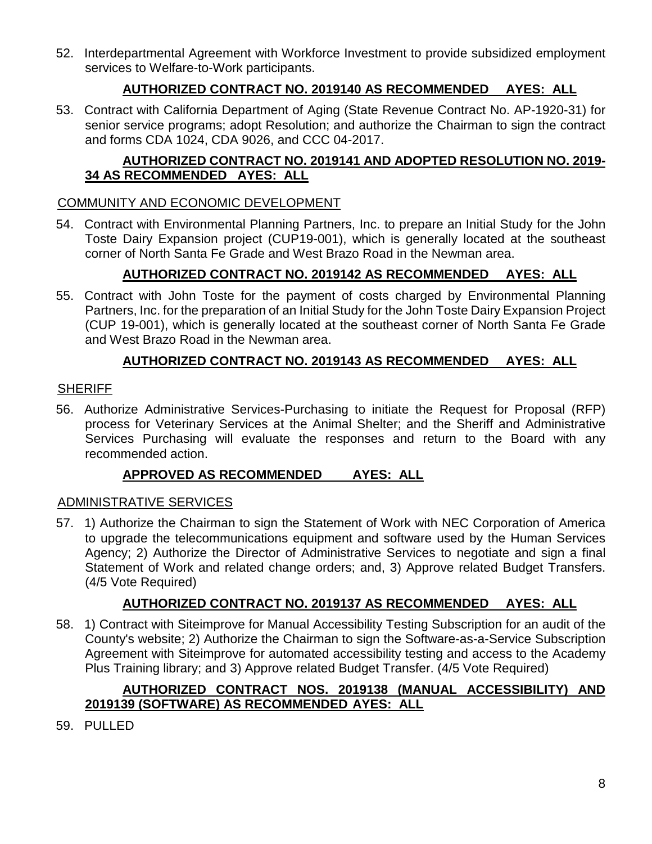52. Interdepartmental Agreement with Workforce Investment to provide subsidized employment services to Welfare-to-Work participants.

# **AUTHORIZED CONTRACT NO. 2019140 AS RECOMMENDED AYES: ALL**

53. Contract with California Department of Aging (State Revenue Contract No. AP-1920-31) for senior service programs; adopt Resolution; and authorize the Chairman to sign the contract and forms CDA 1024, CDA 9026, and CCC 04-2017.

# **AUTHORIZED CONTRACT NO. 2019141 AND ADOPTED RESOLUTION NO. 2019- 34 AS RECOMMENDED AYES: ALL**

### COMMUNITY AND ECONOMIC DEVELOPMENT

54. Contract with Environmental Planning Partners, Inc. to prepare an Initial Study for the John Toste Dairy Expansion project (CUP19-001), which is generally located at the southeast corner of North Santa Fe Grade and West Brazo Road in the Newman area.

# **AUTHORIZED CONTRACT NO. 2019142 AS RECOMMENDED AYES: ALL**

55. Contract with John Toste for the payment of costs charged by Environmental Planning Partners, Inc. for the preparation of an Initial Study for the John Toste Dairy Expansion Project (CUP 19-001), which is generally located at the southeast corner of North Santa Fe Grade and West Brazo Road in the Newman area.

# **AUTHORIZED CONTRACT NO. 2019143 AS RECOMMENDED AYES: ALL**

### **SHERIFF**

56. Authorize Administrative Services-Purchasing to initiate the Request for Proposal (RFP) process for Veterinary Services at the Animal Shelter; and the Sheriff and Administrative Services Purchasing will evaluate the responses and return to the Board with any recommended action.

### **APPROVED AS RECOMMENDED AYES: ALL**

### ADMINISTRATIVE SERVICES

57. 1) Authorize the Chairman to sign the Statement of Work with NEC Corporation of America to upgrade the telecommunications equipment and software used by the Human Services Agency; 2) Authorize the Director of Administrative Services to negotiate and sign a final Statement of Work and related change orders; and, 3) Approve related Budget Transfers. (4/5 Vote Required)

# **AUTHORIZED CONTRACT NO. 2019137 AS RECOMMENDED AYES: ALL**

58. 1) Contract with Siteimprove for Manual Accessibility Testing Subscription for an audit of the County's website; 2) Authorize the Chairman to sign the Software-as-a-Service Subscription Agreement with Siteimprove for automated accessibility testing and access to the Academy Plus Training library; and 3) Approve related Budget Transfer. (4/5 Vote Required)

# **AUTHORIZED CONTRACT NOS. 2019138 (MANUAL ACCESSIBILITY) AND 2019139 (SOFTWARE) AS RECOMMENDED AYES: ALL**

59. PULLED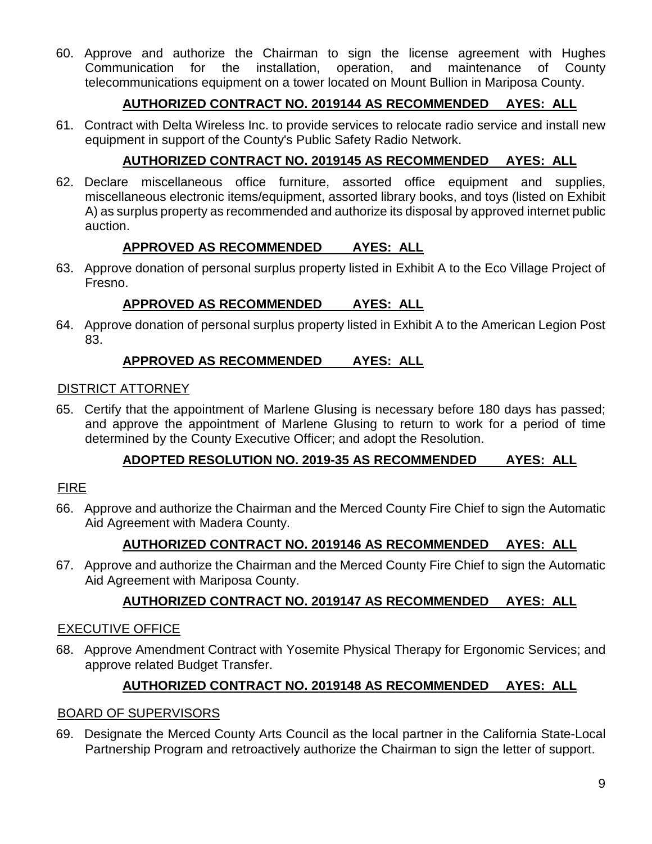60. Approve and authorize the Chairman to sign the license agreement with Hughes Communication for the installation, operation, and maintenance of County telecommunications equipment on a tower located on Mount Bullion in Mariposa County.

# **AUTHORIZED CONTRACT NO. 2019144 AS RECOMMENDED AYES: ALL**

61. Contract with Delta Wireless Inc. to provide services to relocate radio service and install new equipment in support of the County's Public Safety Radio Network.

# **AUTHORIZED CONTRACT NO. 2019145 AS RECOMMENDED AYES: ALL**

62. Declare miscellaneous office furniture, assorted office equipment and supplies, miscellaneous electronic items/equipment, assorted library books, and toys (listed on Exhibit A) as surplus property as recommended and authorize its disposal by approved internet public auction.

# **APPROVED AS RECOMMENDED AYES: ALL**

63. Approve donation of personal surplus property listed in Exhibit A to the Eco Village Project of Fresno.

# **APPROVED AS RECOMMENDED AYES: ALL**

64. Approve donation of personal surplus property listed in Exhibit A to the American Legion Post 83.

# **APPROVED AS RECOMMENDED AYES: ALL**

### DISTRICT ATTORNEY

65. Certify that the appointment of Marlene Glusing is necessary before 180 days has passed; and approve the appointment of Marlene Glusing to return to work for a period of time determined by the County Executive Officer; and adopt the Resolution.

# **ADOPTED RESOLUTION NO. 2019-35 AS RECOMMENDED AYES: ALL**

# FIRE

66. Approve and authorize the Chairman and the Merced County Fire Chief to sign the Automatic Aid Agreement with Madera County.

# **AUTHORIZED CONTRACT NO. 2019146 AS RECOMMENDED AYES: ALL**

67. Approve and authorize the Chairman and the Merced County Fire Chief to sign the Automatic Aid Agreement with Mariposa County.

# **AUTHORIZED CONTRACT NO. 2019147 AS RECOMMENDED AYES: ALL**

# EXECUTIVE OFFICE

68. Approve Amendment Contract with Yosemite Physical Therapy for Ergonomic Services; and approve related Budget Transfer.

# **AUTHORIZED CONTRACT NO. 2019148 AS RECOMMENDED AYES: ALL**

# BOARD OF SUPERVISORS

69. Designate the Merced County Arts Council as the local partner in the California State-Local Partnership Program and retroactively authorize the Chairman to sign the letter of support.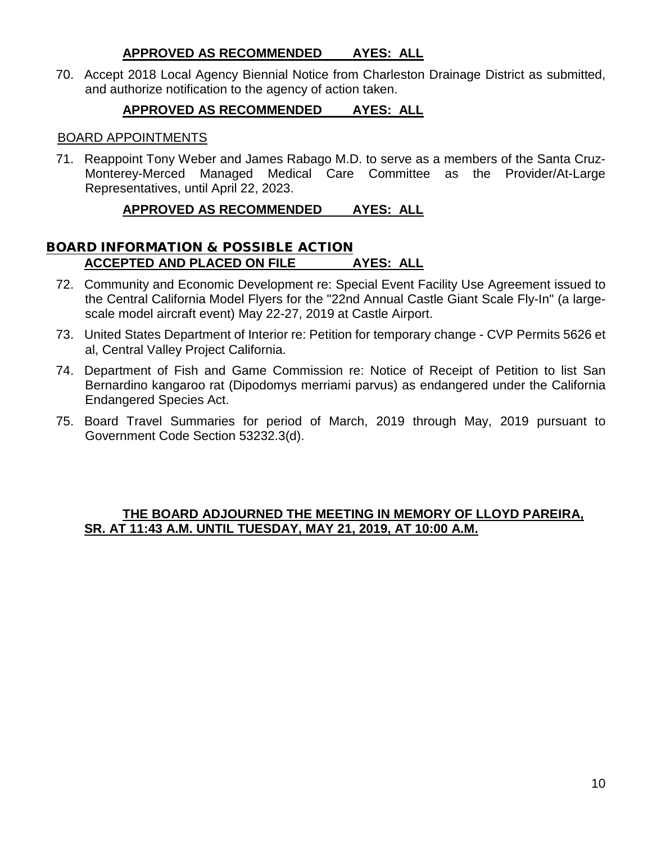### **APPROVED AS RECOMMENDED AYES: ALL**

70. Accept 2018 Local Agency Biennial Notice from Charleston Drainage District as submitted, and authorize notification to the agency of action taken.

## **APPROVED AS RECOMMENDED AYES: ALL**

#### BOARD APPOINTMENTS

71. Reappoint Tony Weber and James Rabago M.D. to serve as a members of the Santa Cruz-Monterey-Merced Managed Medical Care Committee as the Provider/At-Large Representatives, until April 22, 2023.

### **APPROVED AS RECOMMENDED AYES: ALL**

### BOARD INFORMATION & POSSIBLE ACTION **ACCEPTED AND PLACED ON FILE AYES: ALL**

- 72. Community and Economic Development re: Special Event Facility Use Agreement issued to the Central California Model Flyers for the "22nd Annual Castle Giant Scale Fly-In" (a largescale model aircraft event) May 22-27, 2019 at Castle Airport.
- 73. United States Department of Interior re: Petition for temporary change CVP Permits 5626 et al, Central Valley Project California.
- 74. Department of Fish and Game Commission re: Notice of Receipt of Petition to list San Bernardino kangaroo rat (Dipodomys merriami parvus) as endangered under the California Endangered Species Act.
- 75. Board Travel Summaries for period of March, 2019 through May, 2019 pursuant to Government Code Section 53232.3(d).

### **THE BOARD ADJOURNED THE MEETING IN MEMORY OF LLOYD PAREIRA, SR. AT 11:43 A.M. UNTIL TUESDAY, MAY 21, 2019, AT 10:00 A.M.**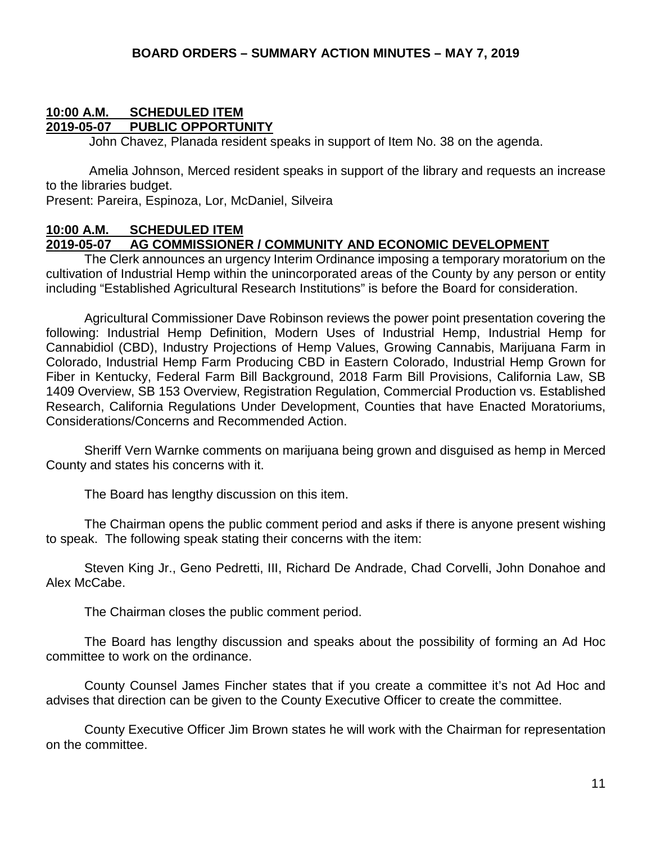#### **10:00 A.M. SCHEDULED ITEM 2019-05-07 PUBLIC OPPORTUNITY**

John Chavez, Planada resident speaks in support of Item No. 38 on the agenda.

Amelia Johnson, Merced resident speaks in support of the library and requests an increase to the libraries budget.

Present: Pareira, Espinoza, Lor, McDaniel, Silveira

### **10:00 A.M. SCHEDULED ITEM 2019-05-07 AG COMMISSIONER / COMMUNITY AND ECONOMIC DEVELOPMENT**

The Clerk announces an urgency Interim Ordinance imposing a temporary moratorium on the cultivation of Industrial Hemp within the unincorporated areas of the County by any person or entity including "Established Agricultural Research Institutions" is before the Board for consideration.

Agricultural Commissioner Dave Robinson reviews the power point presentation covering the following: Industrial Hemp Definition, Modern Uses of Industrial Hemp, Industrial Hemp for Cannabidiol (CBD), Industry Projections of Hemp Values, Growing Cannabis, Marijuana Farm in Colorado, Industrial Hemp Farm Producing CBD in Eastern Colorado, Industrial Hemp Grown for Fiber in Kentucky, Federal Farm Bill Background, 2018 Farm Bill Provisions, California Law, SB 1409 Overview, SB 153 Overview, Registration Regulation, Commercial Production vs. Established Research, California Regulations Under Development, Counties that have Enacted Moratoriums, Considerations/Concerns and Recommended Action.

Sheriff Vern Warnke comments on marijuana being grown and disguised as hemp in Merced County and states his concerns with it.

The Board has lengthy discussion on this item.

The Chairman opens the public comment period and asks if there is anyone present wishing to speak. The following speak stating their concerns with the item:

Steven King Jr., Geno Pedretti, III, Richard De Andrade, Chad Corvelli, John Donahoe and Alex McCabe.

The Chairman closes the public comment period.

The Board has lengthy discussion and speaks about the possibility of forming an Ad Hoc committee to work on the ordinance.

County Counsel James Fincher states that if you create a committee it's not Ad Hoc and advises that direction can be given to the County Executive Officer to create the committee.

County Executive Officer Jim Brown states he will work with the Chairman for representation on the committee.